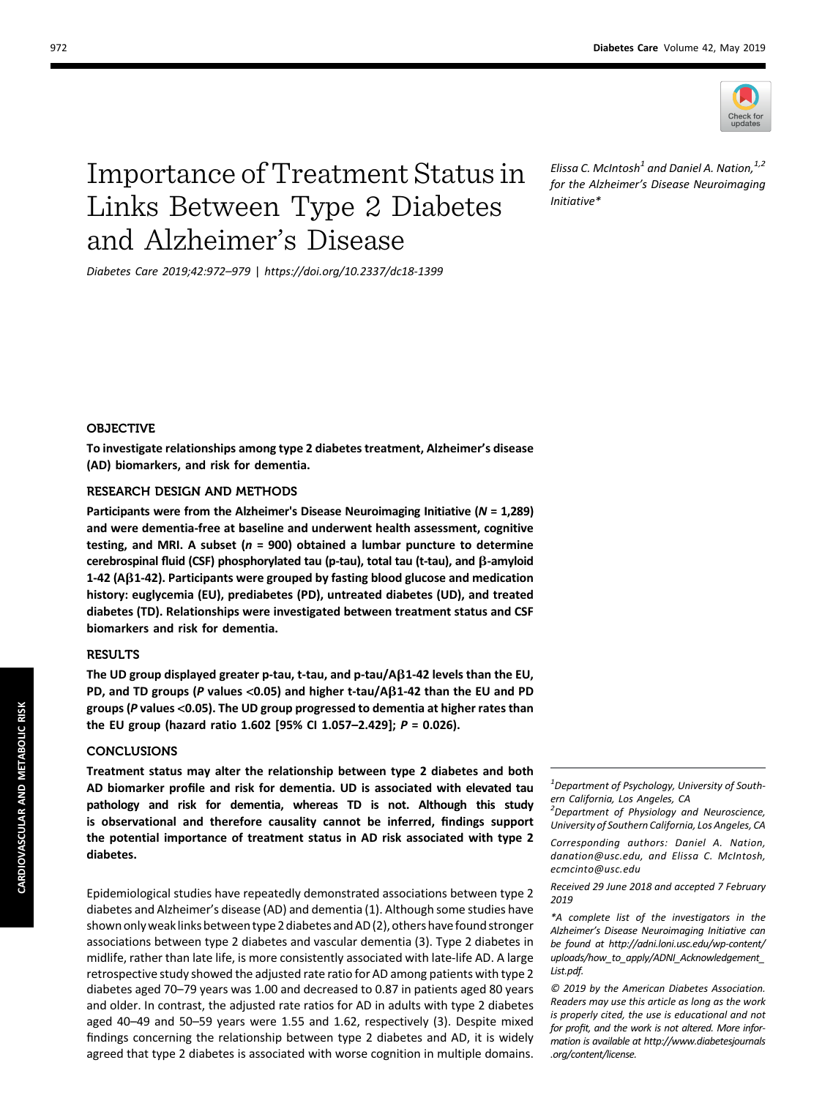

# Importance of Treatment Status in Links Between Type 2 Diabetes and Alzheimer's Disease

Diabetes Care 2019;42:972–979 | <https://doi.org/10.2337/dc18-1399>

Elissa C. McIntosh<sup>1</sup> and Daniel A. Nation,  $1/2$ for the Alzheimer's Disease Neuroimaging Initiative\*

## OBJECTIVE

To investigate relationships among type 2 diabetes treatment, Alzheimer's disease (AD) biomarkers, and risk for dementia.

## RESEARCH DESIGN AND METHODS

Participants were from the Alzheimer's Disease Neuroimaging Initiative ( $N = 1,289$ ) and were dementia-free at baseline and underwent health assessment, cognitive testing, and MRI. A subset ( $n = 900$ ) obtained a lumbar puncture to determine cerebrospinal fluid (CSF) phosphorylated tau (p-tau), total tau (t-tau), and  $\beta$ -amyloid  $1-42$  (A $\beta$ 1-42). Participants were grouped by fasting blood glucose and medication history: euglycemia (EU), prediabetes (PD), untreated diabetes (UD), and treated diabetes (TD). Relationships were investigated between treatment status and CSF biomarkers and risk for dementia.

## **RESULTS**

The UD group displayed greater p-tau, t-tau, and p-tau/A $\beta$ 1-42 levels than the EU, PD, and TD groups (P values <0.05) and higher t-tau/A $\beta$ 1-42 than the EU and PD groups (P values <0.05). The UD group progressed to dementia at higher rates than the EU group (hazard ratio 1.602 [95% CI 1.057–2.429]; P = 0.026).

## **CONCLUSIONS**

Treatment status may alter the relationship between type 2 diabetes and both AD biomarker profile and risk for dementia. UD is associated with elevated tau pathology and risk for dementia, whereas TD is not. Although this study is observational and therefore causality cannot be inferred, findings support the potential importance of treatment status in AD risk associated with type 2 diabetes.

Epidemiological studies have repeatedly demonstrated associations between type 2 diabetes and Alzheimer's disease (AD) and dementia (1). Although some studies have shown only weak links between type 2 diabetes and AD (2), others have found stronger associations between type 2 diabetes and vascular dementia (3). Type 2 diabetes in midlife, rather than late life, is more consistently associated with late-life AD. A large retrospective study showed the adjusted rate ratio for AD among patients with type 2 diabetes aged 70–79 years was 1.00 and decreased to 0.87 in patients aged 80 years and older. In contrast, the adjusted rate ratios for AD in adults with type 2 diabetes aged 40–49 and 50–59 years were 1.55 and 1.62, respectively (3). Despite mixed findings concerning the relationship between type 2 diabetes and AD, it is widely agreed that type 2 diabetes is associated with worse cognition in multiple domains.

 $1$ Department of Psychology, University of Southern California, Los Angeles, CA

<sup>2</sup> Department of Physiology and Neuroscience, University of Southern California, Los Angeles, CA

Corresponding authors: Daniel A. Nation, [danation@usc.edu,](mailto:danation@usc.edu) and Elissa C. McIntosh, [ecmcinto@usc.edu](mailto:ecmcinto@usc.edu)

Received 29 June 2018 and accepted 7 February 2019

\*A complete list of the investigators in the Alzheimer's Disease Neuroimaging Initiative can be found at [http://adni.loni.usc.edu/wp-content/](http://adni.loni.usc.edu/wp-content/uploads/how_to_apply/ADNI_Acknowledgement_List.pdf) [uploads/how\\_to\\_apply/ADNI\\_Acknowledgement\\_](http://adni.loni.usc.edu/wp-content/uploads/how_to_apply/ADNI_Acknowledgement_List.pdf) [List.pdf](http://adni.loni.usc.edu/wp-content/uploads/how_to_apply/ADNI_Acknowledgement_List.pdf).

© 2019 by the American Diabetes Association. Readers may use this article as long as the work is properly cited, the use is educational and not for profit, and the work is not altered. More information is available at [http://www.diabetesjournals](http://www.diabetesjournals.org/content/license) [.org/content/license](http://www.diabetesjournals.org/content/license).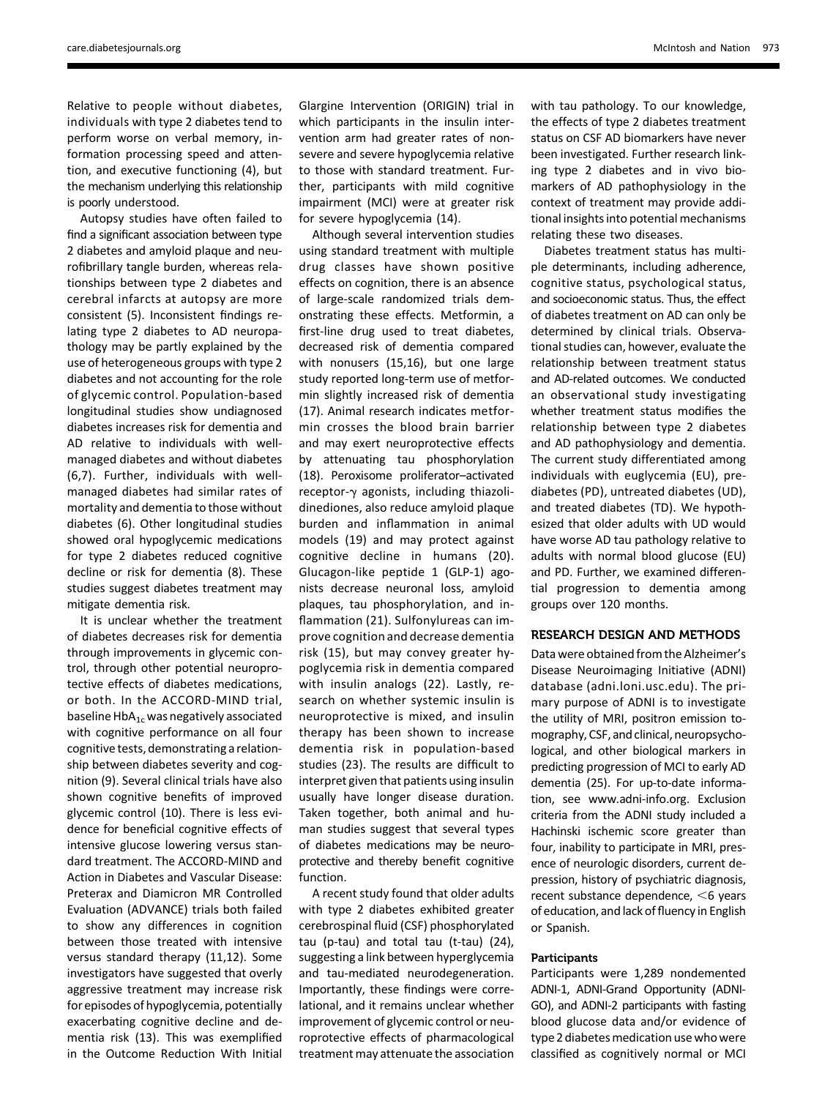Relative to people without diabetes, individuals with type 2 diabetes tend to perform worse on verbal memory, information processing speed and attention, and executive functioning (4), but the mechanism underlying this relationship is poorly understood.

Autopsy studies have often failed to find a significant association between type 2 diabetes and amyloid plaque and neurofibrillary tangle burden, whereas relationships between type 2 diabetes and cerebral infarcts at autopsy are more consistent (5). Inconsistent findings relating type 2 diabetes to AD neuropathology may be partly explained by the use of heterogeneous groups with type 2 diabetes and not accounting for the role of glycemic control. Population-based longitudinal studies show undiagnosed diabetes increases risk for dementia and AD relative to individuals with wellmanaged diabetes and without diabetes (6,7). Further, individuals with wellmanaged diabetes had similar rates of mortality and dementia to those without diabetes (6). Other longitudinal studies showed oral hypoglycemic medications for type 2 diabetes reduced cognitive decline or risk for dementia (8). These studies suggest diabetes treatment may mitigate dementia risk.

It is unclear whether the treatment of diabetes decreases risk for dementia through improvements in glycemic control, through other potential neuroprotective effects of diabetes medications, or both. In the ACCORD-MIND trial, baseline  $HbA_{1c}$  was negatively associated with cognitive performance on all four cognitive tests, demonstrating a relationship between diabetes severity and cognition (9). Several clinical trials have also shown cognitive benefits of improved glycemic control (10). There is less evidence for beneficial cognitive effects of intensive glucose lowering versus standard treatment. The ACCORD-MIND and Action in Diabetes and Vascular Disease: Preterax and Diamicron MR Controlled Evaluation (ADVANCE) trials both failed to show any differences in cognition between those treated with intensive versus standard therapy (11,12). Some investigators have suggested that overly aggressive treatment may increase risk for episodes of hypoglycemia, potentially exacerbating cognitive decline and dementia risk (13). This was exemplified in the Outcome Reduction With Initial

Glargine Intervention (ORIGIN) trial in which participants in the insulin intervention arm had greater rates of nonsevere and severe hypoglycemia relative to those with standard treatment. Further, participants with mild cognitive impairment (MCI) were at greater risk for severe hypoglycemia (14).

Although several intervention studies using standard treatment with multiple drug classes have shown positive effects on cognition, there is an absence of large-scale randomized trials demonstrating these effects. Metformin, a first-line drug used to treat diabetes, decreased risk of dementia compared with nonusers (15,16), but one large study reported long-term use of metformin slightly increased risk of dementia (17). Animal research indicates metformin crosses the blood brain barrier and may exert neuroprotective effects by attenuating tau phosphorylation (18). Peroxisome proliferator–activated receptor- $\gamma$  agonists, including thiazolidinediones, also reduce amyloid plaque burden and inflammation in animal models (19) and may protect against cognitive decline in humans (20). Glucagon-like peptide 1 (GLP-1) agonists decrease neuronal loss, amyloid plaques, tau phosphorylation, and inflammation (21). Sulfonylureas can improve cognition and decrease dementia risk (15), but may convey greater hypoglycemia risk in dementia compared with insulin analogs (22). Lastly, research on whether systemic insulin is neuroprotective is mixed, and insulin therapy has been shown to increase dementia risk in population-based studies (23). The results are difficult to interpret given that patients using insulin usually have longer disease duration. Taken together, both animal and human studies suggest that several types of diabetes medications may be neuroprotective and thereby benefit cognitive function.

A recent study found that older adults with type 2 diabetes exhibited greater cerebrospinal fluid (CSF) phosphorylated tau (p-tau) and total tau (t-tau) (24), suggesting a link between hyperglycemia and tau-mediated neurodegeneration. Importantly, these findings were correlational, and it remains unclear whether improvement of glycemic control or neuroprotective effects of pharmacological treatment may attenuate the association

with tau pathology. To our knowledge, the effects of type 2 diabetes treatment status on CSF AD biomarkers have never been investigated. Further research linking type 2 diabetes and in vivo biomarkers of AD pathophysiology in the context of treatment may provide additional insights into potential mechanisms relating these two diseases.

Diabetes treatment status has multiple determinants, including adherence, cognitive status, psychological status, and socioeconomic status. Thus, the effect of diabetes treatment on AD can only be determined by clinical trials. Observational studies can, however, evaluate the relationship between treatment status and AD-related outcomes. We conducted an observational study investigating whether treatment status modifies the relationship between type 2 diabetes and AD pathophysiology and dementia. The current study differentiated among individuals with euglycemia (EU), prediabetes (PD), untreated diabetes (UD), and treated diabetes (TD). We hypothesized that older adults with UD would have worse AD tau pathology relative to adults with normal blood glucose (EU) and PD. Further, we examined differential progression to dementia among groups over 120 months.

# RESEARCH DESIGN AND METHODS

Data were obtained from the Alzheimer's Disease Neuroimaging Initiative (ADNI) database [\(adni.loni.usc.edu](http://adni.loni.usc.edu)). The primary purpose of ADNI is to investigate the utility of MRI, positron emission tomography, CSF, and clinical, neuropsychological, and other biological markers in predicting progression of MCI to early AD dementia (25). For up-to-date information, see [www.adni-info.org.](http://www.adni-info.org) Exclusion criteria from the ADNI study included a Hachinski ischemic score greater than four, inability to participate in MRI, presence of neurologic disorders, current depression, history of psychiatric diagnosis, recent substance dependence,  $\leq$ 6 years of education, and lack of fluency in English or Spanish.

## Participants

Participants were 1,289 nondemented ADNI-1, ADNI-Grand Opportunity (ADNI-GO), and ADNI-2 participants with fasting blood glucose data and/or evidence of type 2 diabetes medication use who were classified as cognitively normal or MCI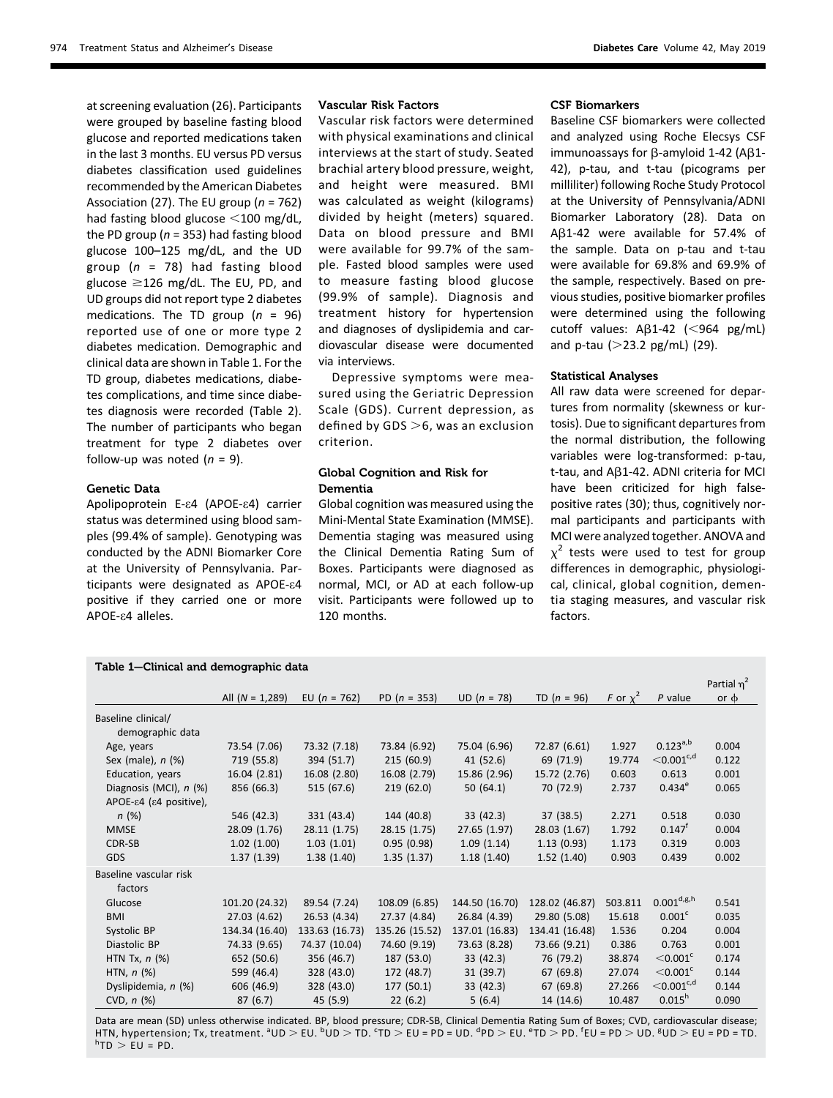at screening evaluation (26). Participants were grouped by baseline fasting blood glucose and reported medications taken in the last 3 months. EU versus PD versus diabetes classification used guidelines recommended by the American Diabetes Association (27). The EU group ( $n = 762$ ) had fasting blood glucose  $<$ 100 mg/dL, the PD group ( $n = 353$ ) had fasting blood glucose 100–125 mg/dL, and the UD group ( $n = 78$ ) had fasting blood glucose  $\geq$ 126 mg/dL. The EU, PD, and UD groups did not report type 2 diabetes medications. The TD group ( $n = 96$ ) reported use of one or more type 2 diabetes medication. Demographic and clinical data are shown in Table 1. For the TD group, diabetes medications, diabetes complications, and time since diabetes diagnosis were recorded (Table 2). The number of participants who began treatment for type 2 diabetes over follow-up was noted  $(n = 9)$ .

#### Genetic Data

Apolipoprotein E-e4 (APOE-e4) carrier status was determined using blood samples (99.4% of sample). Genotyping was conducted by the ADNI Biomarker Core at the University of Pennsylvania. Participants were designated as APOE-e4 positive if they carried one or more APOE-e4 alleles.

## Vascular Risk Factors

Vascular risk factors were determined with physical examinations and clinical interviews at the start of study. Seated brachial artery blood pressure, weight, and height were measured. BMI was calculated as weight (kilograms) divided by height (meters) squared. Data on blood pressure and BMI were available for 99.7% of the sample. Fasted blood samples were used to measure fasting blood glucose (99.9% of sample). Diagnosis and treatment history for hypertension and diagnoses of dyslipidemia and cardiovascular disease were documented via interviews.

Depressive symptoms were measured using the Geriatric Depression Scale (GDS). Current depression, as defined by GDS  $>$ 6, was an exclusion criterion.

## Global Cognition and Risk for Dementia

Global cognition was measured using the Mini-Mental State Examination (MMSE). Dementia staging was measured using the Clinical Dementia Rating Sum of Boxes. Participants were diagnosed as normal, MCI, or AD at each follow-up visit. Participants were followed up to 120 months.

## CSF Biomarkers

Baseline CSF biomarkers were collected and analyzed using Roche Elecsys CSF immunoassays for  $\beta$ -amyloid 1-42 (A $\beta$ 1-42), p-tau, and t-tau (picograms per milliliter) following Roche Study Protocol at the University of Pennsylvania/ADNI Biomarker Laboratory (28). Data on  $A\beta1-42$  were available for 57.4% of the sample. Data on p-tau and t-tau were available for 69.8% and 69.9% of the sample, respectively. Based on previous studies, positive biomarker profiles were determined using the following cutoff values:  $A\beta1-42$  (<964 pg/mL) and p-tau  $(>23.2 \text{ pg/mL})$  (29).

#### Statistical Analyses

All raw data were screened for departures from normality (skewness or kurtosis). Due to significant departures from the normal distribution, the following variables were log-transformed: p-tau, t-tau, and  $A\beta$ 1-42. ADNI criteria for MCI have been criticized for high falsepositive rates (30); thus, cognitively normal participants and participants with MCI were analyzed together. ANOVA and  $x^2$  tests were used to test for group differences in demographic, physiological, clinical, global cognition, dementia staging measures, and vascular risk factors.

| Partial $\eta^2$                       |                   |                |                |                |                |               |                               |           |  |
|----------------------------------------|-------------------|----------------|----------------|----------------|----------------|---------------|-------------------------------|-----------|--|
|                                        | All $(N = 1,289)$ | EU $(n = 762)$ | PD $(n = 353)$ | $UD (n = 78)$  | TD $(n = 96)$  | F or $\chi^2$ | $P$ value                     | or $\phi$ |  |
| Baseline clinical/<br>demographic data |                   |                |                |                |                |               |                               |           |  |
| Age, years                             | 73.54 (7.06)      | 73.32 (7.18)   | 73.84 (6.92)   | 75.04 (6.96)   | 72.87 (6.61)   | 1.927         | $0.123^{a,b}$                 | 0.004     |  |
| Sex (male), $n$ (%)                    | 719 (55.8)        | 394 (51.7)     | 215(60.9)      | 41 (52.6)      | 69 (71.9)      | 19.774        | $<$ 0.001 $c$ ,d              | 0.122     |  |
| Education, years                       | 16.04 (2.81)      | 16.08 (2.80)   | 16.08 (2.79)   | 15.86 (2.96)   | 15.72 (2.76)   | 0.603         | 0.613                         | 0.001     |  |
| Diagnosis (MCI), n (%)                 | 856 (66.3)        | 515 (67.6)     | 219(62.0)      | 50(64.1)       | 70 (72.9)      | 2.737         | $0.434^e$                     | 0.065     |  |
| APOE-ε4 (ε4 positive),                 |                   |                |                |                |                |               |                               |           |  |
| n(%)                                   | 546 (42.3)        | 331 (43.4)     | 144 (40.8)     | 33(42.3)       | 37 (38.5)      | 2.271         | 0.518                         | 0.030     |  |
| <b>MMSE</b>                            | 28.09 (1.76)      | 28.11 (1.75)   | 28.15 (1.75)   | 27.65 (1.97)   | 28.03 (1.67)   | 1.792         | $0.147$ <sup>f</sup>          | 0.004     |  |
| CDR-SB                                 | 1.02(1.00)        | 1.03(1.01)     | 0.95(0.98)     | 1.09(1.14)     | 1.13(0.93)     | 1.173         | 0.319                         | 0.003     |  |
| <b>GDS</b>                             | 1.37(1.39)        | 1.38(1.40)     | 1.35(1.37)     | 1.18(1.40)     | 1.52(1.40)     | 0.903         | 0.439                         | 0.002     |  |
| Baseline vascular risk<br>factors      |                   |                |                |                |                |               |                               |           |  |
| Glucose                                | 101.20 (24.32)    | 89.54 (7.24)   | 108.09 (6.85)  | 144.50 (16.70) | 128.02 (46.87) | 503.811       | $0.001^{\text{d,g,h}}$        | 0.541     |  |
| <b>BMI</b>                             | 27.03 (4.62)      | 26.53 (4.34)   | 27.37 (4.84)   | 26.84 (4.39)   | 29.80 (5.08)   | 15.618        | 0.001 <sup>c</sup>            | 0.035     |  |
| Systolic BP                            | 134.34 (16.40)    | 133.63 (16.73) | 135.26 (15.52) | 137.01 (16.83) | 134.41 (16.48) | 1.536         | 0.204                         | 0.004     |  |
| Diastolic BP                           | 74.33 (9.65)      | 74.37 (10.04)  | 74.60 (9.19)   | 73.63 (8.28)   | 73.66 (9.21)   | 0.386         | 0.763                         | 0.001     |  |
| HTN Tx, $n$ $(\%)$                     | 652 (50.6)        | 356 (46.7)     | 187 (53.0)     | 33 (42.3)      | 76 (79.2)      | 38.874        | $<$ 0.001 $^{\circ}$          | 0.174     |  |
| HTN, $n$ (%)                           | 599 (46.4)        | 328 (43.0)     | 172 (48.7)     | 31 (39.7)      | 67(69.8)       | 27.074        | $<$ 0.001 $\mathrm{^{\circ}}$ | 0.144     |  |
| Dyslipidemia, n (%)                    | 606 (46.9)        | 328 (43.0)     | 177(50.1)      | 33 (42.3)      | 67(69.8)       | 27.266        | $<$ 0.001 $c$ ,d              | 0.144     |  |
| CVD, $n$ (%)                           | 87(6.7)           | 45 (5.9)       | 22(6.2)        | 5(6.4)         | 14 (14.6)      | 10.487        | $0.015^{h}$                   | 0.090     |  |

Data are mean (SD) unless otherwise indicated. BP, blood pressure; CDR-SB, Clinical Dementia Rating Sum of Boxes; CVD, cardiovascular disease; HTN, hypertension; Tx, treatment. <sup>a</sup>UD > EU. <sup>b</sup>UD > TD. <sup>c</sup>TD > EU = PD = UD. <sup>d</sup>PD > EU. <sup>e</sup>TD > PD. <sup>f</sup>EU = PD > UD. <sup>g</sup>UD > EU = PD = TD.<br><sup>h</sup>TD > EU = PD  $h_{\text{TD}} > EU = PD$ .

## Table 1—Clinical and demographic data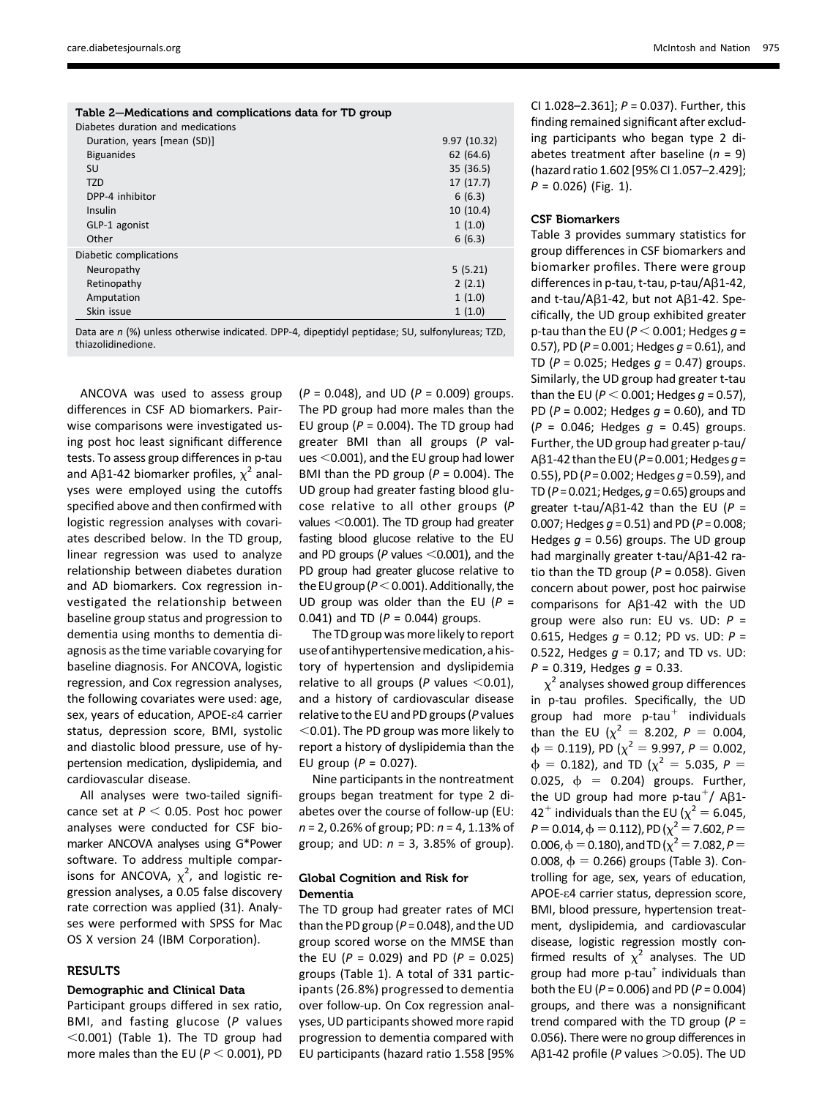| Table 2–Medications and complications data for TD group                                                                                                                                                                       |              |
|-------------------------------------------------------------------------------------------------------------------------------------------------------------------------------------------------------------------------------|--------------|
| Diabetes duration and medications                                                                                                                                                                                             |              |
| Duration, years [mean (SD)]                                                                                                                                                                                                   | 9.97 (10.32) |
| <b>Biguanides</b>                                                                                                                                                                                                             | 62(64.6)     |
| SU                                                                                                                                                                                                                            | 35 (36.5)    |
| <b>TZD</b>                                                                                                                                                                                                                    | 17(17.7)     |
| DPP-4 inhibitor                                                                                                                                                                                                               | 6(6.3)       |
| Insulin                                                                                                                                                                                                                       | 10(10.4)     |
| GLP-1 agonist                                                                                                                                                                                                                 | 1(1.0)       |
| Other                                                                                                                                                                                                                         | 6(6.3)       |
| Diabetic complications                                                                                                                                                                                                        |              |
| Neuropathy                                                                                                                                                                                                                    | 5(5.21)      |
| Retinopathy                                                                                                                                                                                                                   | 2(2.1)       |
| Amputation                                                                                                                                                                                                                    | 1(1.0)       |
| Skin issue                                                                                                                                                                                                                    | 1(1.0)       |
| . And the set of the set of the set of the set of the set of the set of the set of the set of the set of the set of the set of the set of the set of the set of the set of the set of the set of the set of the set of the se | $-1$         |

Data are n (%) unless otherwise indicated. DPP-4, dipeptidyl peptidase; SU, sulfonylureas; TZD, thiazolidinedione.

ANCOVA was used to assess group differences in CSF AD biomarkers. Pairwise comparisons were investigated using post hoc least significant difference tests. To assess group differences in p-tau and A $\beta$ 1-42 biomarker profiles,  $\chi^2$  analyses were employed using the cutoffs specified above and then confirmed with logistic regression analyses with covariates described below. In the TD group, linear regression was used to analyze relationship between diabetes duration and AD biomarkers. Cox regression investigated the relationship between baseline group status and progression to dementia using months to dementia diagnosis as the time variable covarying for baseline diagnosis. For ANCOVA, logistic regression, and Cox regression analyses, the following covariates were used: age, sex, years of education, APOE-e4 carrier status, depression score, BMI, systolic and diastolic blood pressure, use of hypertension medication, dyslipidemia, and cardiovascular disease.

All analyses were two-tailed significance set at  $P < 0.05$ . Post hoc power analyses were conducted for CSF biomarker ANCOVA analyses using G\*Power software. To address multiple comparisons for ANCOVA,  $\chi^2$ , and logistic regression analyses, a 0.05 false discovery rate correction was applied (31). Analyses were performed with SPSS for Mac OS X version 24 (IBM Corporation).

## **RESULTS**

## Demographic and Clinical Data

Participant groups differed in sex ratio, BMI, and fasting glucose (P values  $<$ 0.001) (Table 1). The TD group had more males than the EU ( $P < 0.001$ ), PD  $(P = 0.048)$ , and UD  $(P = 0.009)$  groups. The PD group had more males than the EU group ( $P = 0.004$ ). The TD group had greater BMI than all groups (P values  $<$  0.001), and the EU group had lower BMI than the PD group ( $P = 0.004$ ). The UD group had greater fasting blood glucose relative to all other groups (P values  $<$  0.001). The TD group had greater fasting blood glucose relative to the EU and PD groups ( $P$  values  $<$ 0.001), and the PD group had greater glucose relative to the EU group ( $P < 0.001$ ). Additionally, the UD group was older than the EU ( $P =$ 0.041) and TD ( $P = 0.044$ ) groups.

The TD group was more likely to report use ofantihypertensivemedication,a history of hypertension and dyslipidemia relative to all groups (P values  $<$  0.01), and a history of cardiovascular disease relative to the EU and PD groups (P values  $<$  0.01). The PD group was more likely to report a history of dyslipidemia than the EU group ( $P = 0.027$ ).

Nine participants in the nontreatment groups began treatment for type 2 diabetes over the course of follow-up (EU:  $n = 2, 0.26\%$  of group; PD:  $n = 4, 1.13\%$  of group; and UD:  $n = 3$ , 3.85% of group).

## Global Cognition and Risk for Dementia

The TD group had greater rates of MCI than the PD group ( $P = 0.048$ ), and the UD group scored worse on the MMSE than the EU ( $P = 0.029$ ) and PD ( $P = 0.025$ ) groups (Table 1). A total of 331 participants (26.8%) progressed to dementia over follow-up. On Cox regression analyses, UD participants showed more rapid progression to dementia compared with EU participants (hazard ratio 1.558 [95%

CI 1.028-2.361];  $P = 0.037$ ). Further, this finding remained significant after excluding participants who began type 2 diabetes treatment after baseline ( $n = 9$ ) (hazard ratio 1.602 [95% CI 1.057–2.429];  $P = 0.026$ ) (Fig. 1).

## CSF Biomarkers

Table 3 provides summary statistics for group differences in CSF biomarkers and biomarker profiles. There were group differences in p-tau, t-tau, p-tau/Aβ1-42, and t-tau/A $\beta$ 1-42, but not A $\beta$ 1-42. Specifically, the UD group exhibited greater p-tau than the EU ( $P < 0.001$ ; Hedges  $g =$ 0.57), PD ( $P = 0.001$ ; Hedges  $q = 0.61$ ), and TD ( $P = 0.025$ ; Hedges  $q = 0.47$ ) groups. Similarly, the UD group had greater t-tau than the EU ( $P < 0.001$ ; Hedges  $q = 0.57$ ), PD ( $P = 0.002$ ; Hedges  $g = 0.60$ ), and TD  $(P = 0.046;$  Hedges  $q = 0.45$ ) groups. Further, the UD group had greater p-tau/ A $\beta$ 1-42 than the EU (P = 0.001; Hedges q = 0.55), PD ( $P = 0.002$ ; Hedges  $q = 0.59$ ), and TD ( $P = 0.021$ ; Hedges,  $g = 0.65$ ) groups and greater t-tau/A $\beta$ 1-42 than the EU (P = 0.007; Hedges  $q = 0.51$ ) and PD ( $P = 0.008$ ; Hedges  $g = 0.56$ ) groups. The UD group had marginally greater t-tau/ $AB1-42$  ratio than the TD group ( $P = 0.058$ ). Given concern about power, post hoc pairwise comparisons for  $A\beta1-42$  with the UD group were also run: EU vs. UD:  $P =$ 0.615, Hedges  $q = 0.12$ ; PD vs. UD:  $P =$ 0.522, Hedges  $g = 0.17$ ; and TD vs. UD:  $P = 0.319$ , Hedges  $g = 0.33$ .

 $\chi^2$  analyses showed group differences in p-tau profiles. Specifically, the UD group had more  $p$ -tau<sup>+</sup> individuals than the EU ( $\chi^2 = 8.202$ ,  $P = 0.004$ ,<br> $\phi = 0.119$ ) PD ( $\chi^2 = 9.997$   $P = 0.002$  $\phi = 0.119$ , PD  $(\chi^2 = 9.997, P = 0.002,$ <br>  $\phi = 0.182$ ), and TD  $(\chi^2 = 5.035, P = 1.002)$  $\phi$  = 0.182), and TD ( $\chi^2$  = 5.035, P = 0.025,  $\phi = 0.204$ ) groups. Further, the UD group had more p-tau<sup>+</sup>/ A $\beta$ 1-42<sup>+</sup> individuals than the EU ( $\chi^2$  = 6.045,  $P=0.014$ ,  $\phi=0.112$ ), PD ( $\chi^2=7.602$ ,  $P=$ 0.006,  $\phi = 0.180$ ), and TD  $(\chi^2 = 7.082, P = 0.008, \phi = 0.266)$  groups (Table 3). Con-0.008,  $\phi = 0.266$ ) groups (Table 3). Controlling for age, sex, years of education, APOE-e4 carrier status, depression score, BMI, blood pressure, hypertension treatment, dyslipidemia, and cardiovascular disease, logistic regression mostly confirmed results of  $\chi^2$  analyses. The UD group had more  $p$ -tau<sup>+</sup> individuals than both the EU ( $P = 0.006$ ) and PD ( $P = 0.004$ ) groups, and there was a nonsignificant trend compared with the TD group ( $P =$ 0.056). There were no group differences in A $\beta$ 1-42 profile (P values  $>$ 0.05). The UD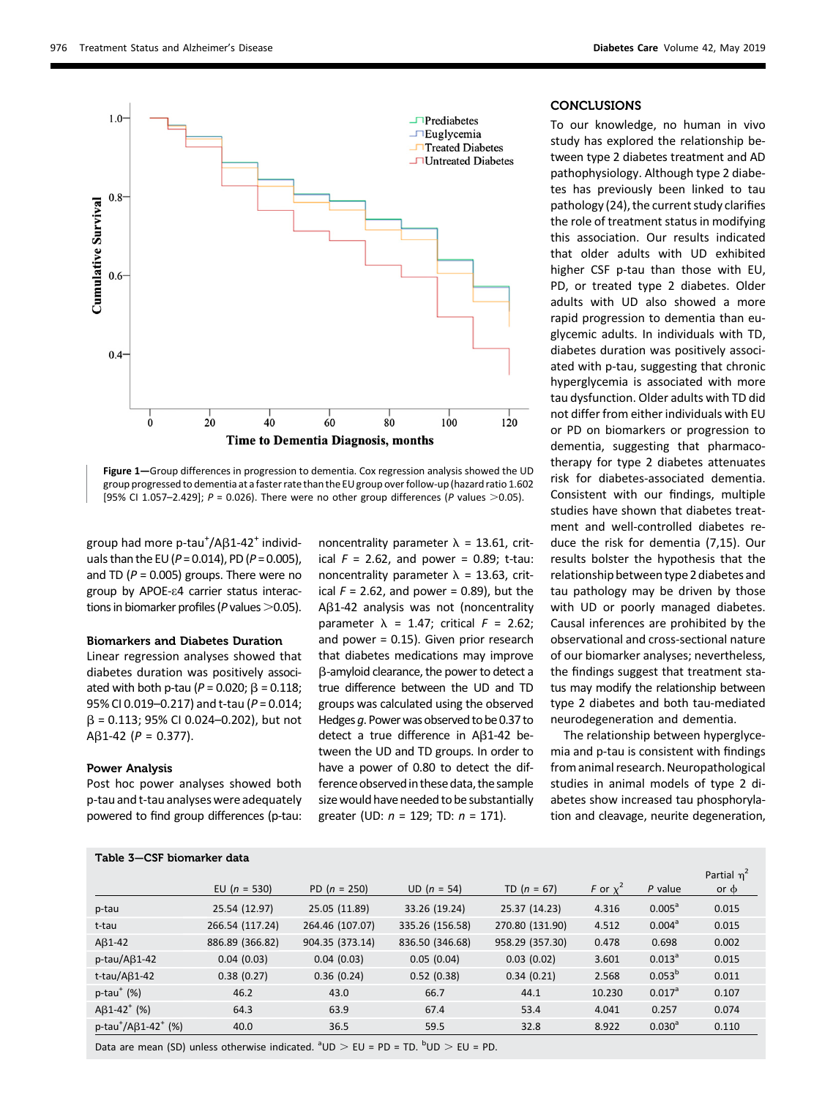

Figure 1-Group differences in progression to dementia. Cox regression analysis showed the UD group progressed to dementia at a faster rate than the EU group over follow-up (hazard ratio 1.602 [95% CI 1.057-2.429];  $P = 0.026$ ). There were no other group differences (P values  $>0.05$ ).

group had more p-tau<sup>+</sup>/Aß1-42<sup>+</sup> individ-<br>uals than the ELL(P – 0.014), PD (P – 0.005) uals than the EU ( $P = 0.014$ ), PD ( $P = 0.005$ ), and TD ( $P = 0.005$ ) groups. There were no group by APOE-e4 carrier status interactions in biomarker profiles ( $P$  values  $>$  0.05).

## Biomarkers and Diabetes Duration

Linear regression analyses showed that diabetes duration was positively associated with both p-tau ( $P = 0.020$ ;  $\beta = 0.118$ ; 95% CI 0.019–0.217) and t-tau (P = 0.014;  $\beta$  = 0.113; 95% CI 0.024–0.202), but not  $A\beta$ 1-42 ( $P = 0.377$ ).

## Power Analysis

Post hoc power analyses showed both p-tau and t-tau analyses were adequately powered to find group differences (p-tau:

Table 3—CSF biomarker data

noncentrality parameter  $\lambda$  = 13.61, critical  $F = 2.62$ , and power = 0.89; t-tau: noncentrality parameter  $\lambda$  = 13.63, critical  $F = 2.62$ , and power = 0.89), but the AB1-42 analysis was not (noncentrality parameter  $\lambda$  = 1.47; critical  $F$  = 2.62; and power = 0.15). Given prior research that diabetes medications may improve b-amyloid clearance, the power to detect a true difference between the UD and TD groups was calculated using the observed Hedges g. Power was observed to be 0.37 to detect a true difference in Ab1-42 between the UD and TD groups. In order to have a power of 0.80 to detect the difference observed in these data, the sample size would have needed to be substantially greater (UD:  $n = 129$ ; TD:  $n = 171$ ).

## **CONCLUSIONS**

To our knowledge, no human in vivo study has explored the relationship between type 2 diabetes treatment and AD pathophysiology. Although type 2 diabetes has previously been linked to tau pathology (24), the current study clarifies the role of treatment status in modifying this association. Our results indicated that older adults with UD exhibited higher CSF p-tau than those with EU, PD, or treated type 2 diabetes. Older adults with UD also showed a more rapid progression to dementia than euglycemic adults. In individuals with TD, diabetes duration was positively associated with p-tau, suggesting that chronic hyperglycemia is associated with more tau dysfunction. Older adults with TD did not differ from either individuals with EU or PD on biomarkers or progression to dementia, suggesting that pharmacotherapy for type 2 diabetes attenuates risk for diabetes-associated dementia. Consistent with our findings, multiple studies have shown that diabetes treatment and well-controlled diabetes reduce the risk for dementia (7,15). Our results bolster the hypothesis that the relationship between type 2 diabetes and tau pathology may be driven by those with UD or poorly managed diabetes. Causal inferences are prohibited by the observational and cross-sectional nature of our biomarker analyses; nevertheless, the findings suggest that treatment status may modify the relationship between type 2 diabetes and both tau-mediated neurodegeneration and dementia.

The relationship between hyperglycemia and p-tau is consistent with findings from animal research. Neuropathological studies in animal models of type 2 diabetes show increased tau phosphorylation and cleavage, neurite degeneration,

|                                                     |                  |                 |                 |                 |               |                      | Partial $\eta^2$ |
|-----------------------------------------------------|------------------|-----------------|-----------------|-----------------|---------------|----------------------|------------------|
|                                                     | EU ( $n = 530$ ) | PD $(n = 250)$  | $UD (n = 54)$   | TD $(n = 67)$   | F or $\chi^2$ | P value              | or $\phi$        |
| p-tau                                               | 25.54 (12.97)    | 25.05 (11.89)   | 33.26 (19.24)   | 25.37 (14.23)   | 4.316         | $0.005^{\circ}$      | 0.015            |
| t-tau                                               | 266.54 (117.24)  | 264.46 (107.07) | 335.26 (156.58) | 270.80 (131.90) | 4.512         | 0.004 <sup>a</sup>   | 0.015            |
| $AB1-42$                                            | 886.89 (366.82)  | 904.35 (373.14) | 836.50 (346.68) | 958.29 (357.30) | 0.478         | 0.698                | 0.002            |
| $p$ -tau/A $\beta$ 1-42                             | 0.04(0.03)       | 0.04(0.03)      | 0.05(0.04)      | 0.03(0.02)      | 3.601         | $0.013^a$            | 0.015            |
| t-tau/A $\beta$ 1-42                                | 0.38(0.27)       | 0.36(0.24)      | 0.52(0.38)      | 0.34(0.21)      | 2.568         | 0.053 <sup>b</sup>   | 0.011            |
| $p$ -tau <sup>+</sup> (%)                           | 46.2             | 43.0            | 66.7            | 44.1            | 10.230        | $0.017$ <sup>a</sup> | 0.107            |
| $A\beta$ 1-42 <sup>+</sup> (%)                      | 64.3             | 63.9            | 67.4            | 53.4            | 4.041         | 0.257                | 0.074            |
| p-tau <sup>+</sup> /A $\beta$ 1-42 <sup>+</sup> (%) | 40.0             | 36.5            | 59.5            | 32.8            | 8.922         | $0.030^{a}$          | 0.110            |
|                                                     |                  |                 |                 |                 |               |                      |                  |

Data are mean (SD) unless otherwise indicated.  $^{\text{a}}$ UD  $>$  EU = PD = TD.  $^{\text{b}}$ UD  $>$  EU = PD.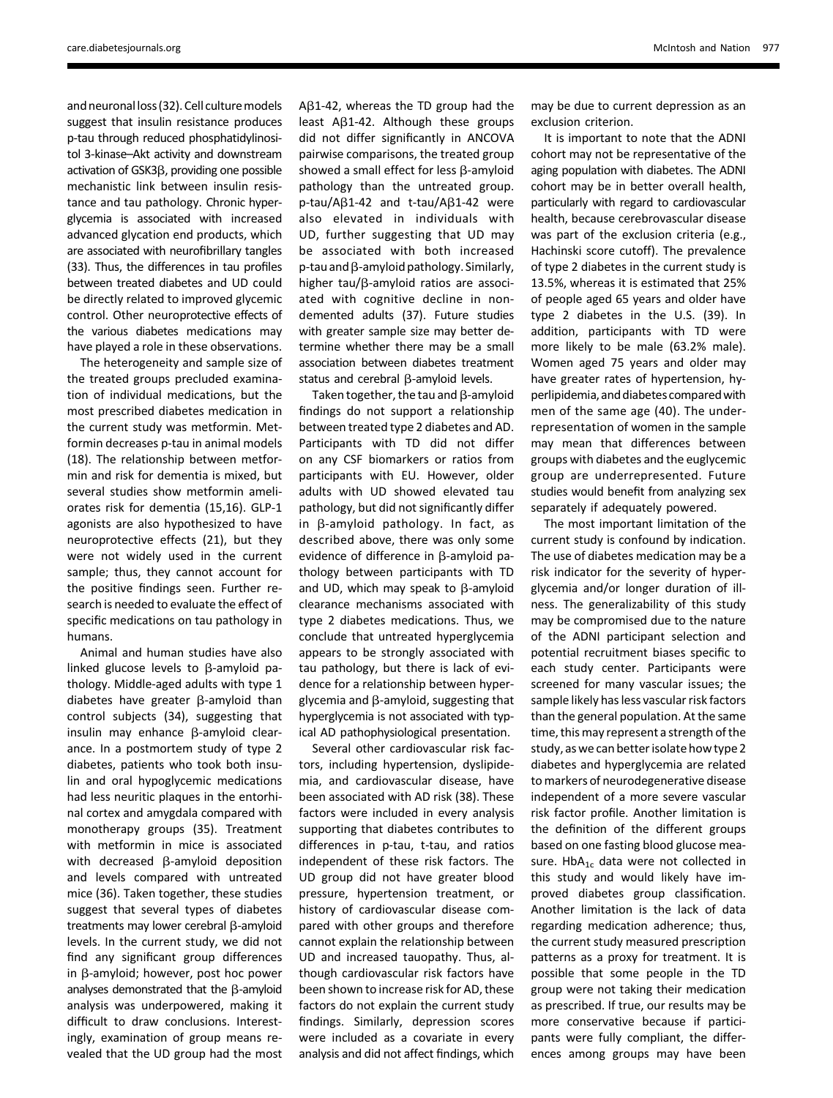and neuronal loss (32). Cell culture models suggest that insulin resistance produces p-tau through reduced phosphatidylinositol 3-kinase–Akt activity and downstream activation of  $GSK3\beta$ , providing one possible mechanistic link between insulin resistance and tau pathology. Chronic hyperglycemia is associated with increased advanced glycation end products, which are associated with neurofibrillary tangles (33). Thus, the differences in tau profiles between treated diabetes and UD could be directly related to improved glycemic control. Other neuroprotective effects of the various diabetes medications may have played a role in these observations.

The heterogeneity and sample size of the treated groups precluded examination of individual medications, but the most prescribed diabetes medication in the current study was metformin. Metformin decreases p-tau in animal models (18). The relationship between metformin and risk for dementia is mixed, but several studies show metformin ameliorates risk for dementia (15,16). GLP-1 agonists are also hypothesized to have neuroprotective effects (21), but they were not widely used in the current sample; thus, they cannot account for the positive findings seen. Further research is needed to evaluate the effect of specific medications on tau pathology in humans.

Animal and human studies have also linked glucose levels to  $\beta$ -amyloid pathology. Middle-aged adults with type 1 diabetes have greater  $\beta$ -amyloid than control subjects (34), suggesting that insulin may enhance  $\beta$ -amyloid clearance. In a postmortem study of type 2 diabetes, patients who took both insulin and oral hypoglycemic medications had less neuritic plaques in the entorhinal cortex and amygdala compared with monotherapy groups (35). Treatment with metformin in mice is associated with decreased  $\beta$ -amyloid deposition and levels compared with untreated mice (36). Taken together, these studies suggest that several types of diabetes treatments may lower cerebral  $\beta$ -amyloid levels. In the current study, we did not find any significant group differences in  $\beta$ -amyloid; however, post hoc power analyses demonstrated that the  $\beta$ -amyloid analysis was underpowered, making it difficult to draw conclusions. Interestingly, examination of group means revealed that the UD group had the most

 $A\beta1-42$ , whereas the TD group had the least  $A\beta$ 1-42. Although these groups did not differ significantly in ANCOVA pairwise comparisons, the treated group showed a small effect for less  $\beta$ -amyloid pathology than the untreated group.  $p$ -tau/A $\beta$ 1-42 and t-tau/A $\beta$ 1-42 were also elevated in individuals with UD, further suggesting that UD may be associated with both increased  $p$ -tau and  $\beta$ -amyloid pathology. Similarly, higher  $tau/β$ -amyloid ratios are associated with cognitive decline in nondemented adults (37). Future studies with greater sample size may better determine whether there may be a small association between diabetes treatment status and cerebral  $\beta$ -amyloid levels.

Taken together, the tau and  $\beta$ -amyloid findings do not support a relationship between treated type 2 diabetes and AD. Participants with TD did not differ on any CSF biomarkers or ratios from participants with EU. However, older adults with UD showed elevated tau pathology, but did not significantly differ in  $\beta$ -amyloid pathology. In fact, as described above, there was only some evidence of difference in  $\beta$ -amyloid pathology between participants with TD and UD, which may speak to  $\beta$ -amyloid clearance mechanisms associated with type 2 diabetes medications. Thus, we conclude that untreated hyperglycemia appears to be strongly associated with tau pathology, but there is lack of evidence for a relationship between hyperglycemia and  $\beta$ -amyloid, suggesting that hyperglycemia is not associated with typical AD pathophysiological presentation.

Several other cardiovascular risk factors, including hypertension, dyslipidemia, and cardiovascular disease, have been associated with AD risk (38). These factors were included in every analysis supporting that diabetes contributes to differences in p-tau, t-tau, and ratios independent of these risk factors. The UD group did not have greater blood pressure, hypertension treatment, or history of cardiovascular disease compared with other groups and therefore cannot explain the relationship between UD and increased tauopathy. Thus, although cardiovascular risk factors have been shown to increase risk for AD, these factors do not explain the current study findings. Similarly, depression scores were included as a covariate in every analysis and did not affect findings, which

may be due to current depression as an exclusion criterion.

It is important to note that the ADNI cohort may not be representative of the aging population with diabetes. The ADNI cohort may be in better overall health, particularly with regard to cardiovascular health, because cerebrovascular disease was part of the exclusion criteria (e.g., Hachinski score cutoff). The prevalence of type 2 diabetes in the current study is 13.5%, whereas it is estimated that 25% of people aged 65 years and older have type 2 diabetes in the U.S. (39). In addition, participants with TD were more likely to be male (63.2% male). Women aged 75 years and older may have greater rates of hypertension, hyperlipidemia, and diabetes compared with men of the same age (40). The underrepresentation of women in the sample may mean that differences between groups with diabetes and the euglycemic group are underrepresented. Future studies would benefit from analyzing sex separately if adequately powered.

The most important limitation of the current study is confound by indication. The use of diabetes medication may be a risk indicator for the severity of hyperglycemia and/or longer duration of illness. The generalizability of this study may be compromised due to the nature of the ADNI participant selection and potential recruitment biases specific to each study center. Participants were screened for many vascular issues; the sample likely has less vascular risk factors than the general population. At the same time, this may represent a strength of the study, as we can better isolate how type 2 diabetes and hyperglycemia are related to markers of neurodegenerative disease independent of a more severe vascular risk factor profile. Another limitation is the definition of the different groups based on one fasting blood glucose measure.  $HbA_{1c}$  data were not collected in this study and would likely have improved diabetes group classification. Another limitation is the lack of data regarding medication adherence; thus, the current study measured prescription patterns as a proxy for treatment. It is possible that some people in the TD group were not taking their medication as prescribed. If true, our results may be more conservative because if participants were fully compliant, the differences among groups may have been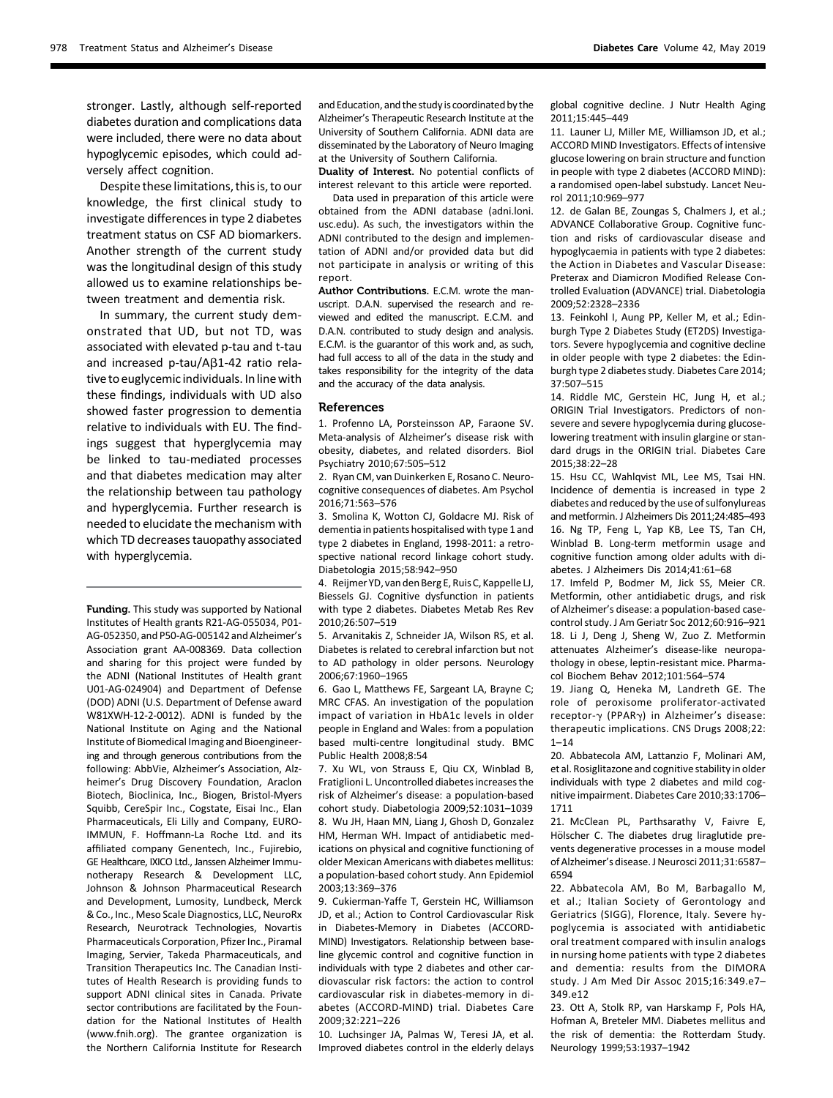stronger. Lastly, although self-reported diabetes duration and complications data were included, there were no data about hypoglycemic episodes, which could adversely affect cognition.

Despite these limitations, this is, to our knowledge, the first clinical study to investigate differences in type 2 diabetes treatment status on CSF AD biomarkers. Another strength of the current study was the longitudinal design of this study allowed us to examine relationships between treatment and dementia risk.

In summary, the current study demonstrated that UD, but not TD, was associated with elevated p-tau and t-tau and increased p-tau/ $A\beta$ 1-42 ratio relative to euglycemic individuals. In line with these findings, individuals with UD also showed faster progression to dementia relative to individuals with EU. The findings suggest that hyperglycemia may be linked to tau-mediated processes and that diabetes medication may alter the relationship between tau pathology and hyperglycemia. Further research is needed to elucidate the mechanism with which TD decreases tauopathy associated with hyperglycemia.

Funding. This study was supported by National Institutes of Health grants R21-AG-055034, P01- AG-052350, and P50-AG-005142 and Alzheimer's Association grant AA-008369. Data collection and sharing for this project were funded by the ADNI (National Institutes of Health grant U01-AG-024904) and Department of Defense (DOD) ADNI (U.S. Department of Defense award W81XWH-12-2-0012). ADNI is funded by the National Institute on Aging and the National Institute of Biomedical Imaging and Bioengineering and through generous contributions from the following: AbbVie, Alzheimer's Association, Alzheimer's Drug Discovery Foundation, Araclon Biotech, Bioclinica, Inc., Biogen, Bristol-Myers Squibb, CereSpir Inc., Cogstate, Eisai Inc., Elan Pharmaceuticals, Eli Lilly and Company, EURO-IMMUN, F. Hoffmann-La Roche Ltd. and its affiliated company Genentech, Inc., Fujirebio, GE Healthcare, IXICO Ltd., Janssen Alzheimer Immunotherapy Research & Development LLC, Johnson & Johnson Pharmaceutical Research and Development, Lumosity, Lundbeck, Merck & Co., Inc., Meso Scale Diagnostics, LLC, NeuroRx Research, Neurotrack Technologies, Novartis Pharmaceuticals Corporation, Pfizer Inc., Piramal Imaging, Servier, Takeda Pharmaceuticals, and Transition Therapeutics Inc. The Canadian Institutes of Health Research is providing funds to support ADNI clinical sites in Canada. Private sector contributions are facilitated by the Foundation for the National Institutes of Health (www.fnih.org). The grantee organization is the Northern California Institute for Research

and Education, and the study is coordinated by the Alzheimer's Therapeutic Research Institute at the University of Southern California. ADNI data are disseminated by the Laboratory of Neuro Imaging at the University of Southern California.

Duality of Interest. No potential conflicts of interest relevant to this article were reported.

Data used in preparation of this article were obtained from the ADNI database ([adni.loni.](http://adni.loni.usc.edu) [usc.edu\)](http://adni.loni.usc.edu). As such, the investigators within the ADNI contributed to the design and implementation of ADNI and/or provided data but did not participate in analysis or writing of this report.

Author Contributions. E.C.M. wrote the manuscript. D.A.N. supervised the research and reviewed and edited the manuscript. E.C.M. and D.A.N. contributed to study design and analysis. E.C.M. is the guarantor of this work and, as such, had full access to all of the data in the study and takes responsibility for the integrity of the data and the accuracy of the data analysis.

#### References

1. Profenno LA, Porsteinsson AP, Faraone SV. Meta-analysis of Alzheimer's disease risk with obesity, diabetes, and related disorders. Biol Psychiatry 2010;67:505–512

2. Ryan CM, van Duinkerken E, Rosano C. Neurocognitive consequences of diabetes. Am Psychol 2016;71:563–576

3. Smolina K, Wotton CJ, Goldacre MJ. Risk of dementia in patients hospitalised with type 1 and type 2 diabetes in England, 1998-2011: a retrospective national record linkage cohort study. Diabetologia 2015;58:942–950

4. Reijmer YD, van den Berg E, Ruis C, Kappelle LJ, Biessels GJ. Cognitive dysfunction in patients with type 2 diabetes. Diabetes Metab Res Rev 2010;26:507–519

5. Arvanitakis Z, Schneider JA, Wilson RS, et al. Diabetes is related to cerebral infarction but not to AD pathology in older persons. Neurology 2006;67:1960–1965

6. Gao L, Matthews FE, Sargeant LA, Brayne C; MRC CFAS. An investigation of the population impact of variation in HbA1c levels in older people in England and Wales: from a population based multi-centre longitudinal study. BMC Public Health 2008;8:54

7. Xu WL, von Strauss E, Qiu CX, Winblad B, Fratiglioni L. Uncontrolled diabetes increases the risk of Alzheimer's disease: a population-based cohort study. Diabetologia 2009;52:1031–1039 8. Wu JH, Haan MN, Liang J, Ghosh D, Gonzalez HM, Herman WH. Impact of antidiabetic medications on physical and cognitive functioning of older Mexican Americans with diabetes mellitus: a population-based cohort study. Ann Epidemiol 2003;13:369–376

9. Cukierman-Yaffe T, Gerstein HC, Williamson JD, et al.; Action to Control Cardiovascular Risk in Diabetes-Memory in Diabetes (ACCORD-MIND) Investigators. Relationship between baseline glycemic control and cognitive function in individuals with type 2 diabetes and other cardiovascular risk factors: the action to control cardiovascular risk in diabetes-memory in diabetes (ACCORD-MIND) trial. Diabetes Care 2009;32:221–226

10. Luchsinger JA, Palmas W, Teresi JA, et al. Improved diabetes control in the elderly delays global cognitive decline. J Nutr Health Aging 2011;15:445–449

11. Launer LJ, Miller ME, Williamson JD, et al.; ACCORD MIND Investigators. Effects of intensive glucose lowering on brain structure and function in people with type 2 diabetes (ACCORD MIND): a randomised open-label substudy. Lancet Neurol 2011;10:969–977

12. de Galan BE, Zoungas S, Chalmers J, et al.; ADVANCE Collaborative Group. Cognitive function and risks of cardiovascular disease and hypoglycaemia in patients with type 2 diabetes: the Action in Diabetes and Vascular Disease: Preterax and Diamicron Modified Release Controlled Evaluation (ADVANCE) trial. Diabetologia 2009;52:2328–2336

13. Feinkohl I, Aung PP, Keller M, et al.; Edinburgh Type 2 Diabetes Study (ET2DS) Investigators. Severe hypoglycemia and cognitive decline in older people with type 2 diabetes: the Edinburgh type 2 diabetes study. Diabetes Care 2014; 37:507–515

14. Riddle MC, Gerstein HC, Jung H, et al.; ORIGIN Trial Investigators. Predictors of nonsevere and severe hypoglycemia during glucoselowering treatment with insulin glargine or standard drugs in the ORIGIN trial. Diabetes Care 2015;38:22–28

15. Hsu CC, Wahlqvist ML, Lee MS, Tsai HN. Incidence of dementia is increased in type 2 diabetes and reduced by the use of sulfonylureas and metformin. J Alzheimers Dis 2011;24:485–493 16. Ng TP, Feng L, Yap KB, Lee TS, Tan CH, Winblad B. Long-term metformin usage and cognitive function among older adults with diabetes. J Alzheimers Dis 2014;41:61–68

17. Imfeld P, Bodmer M, Jick SS, Meier CR. Metformin, other antidiabetic drugs, and risk of Alzheimer's disease: a population-based casecontrol study. J Am Geriatr Soc 2012;60:916–921 18. Li J, Deng J, Sheng W, Zuo Z. Metformin attenuates Alzheimer's disease-like neuropathology in obese, leptin-resistant mice. Pharmacol Biochem Behav 2012;101:564–574

19. Jiang Q, Heneka M, Landreth GE. The role of peroxisome proliferator-activated receptor-γ (PPARγ) in Alzheimer's disease: therapeutic implications. CNS Drugs 2008;22:  $1 - 14$ 

20. Abbatecola AM, Lattanzio F, Molinari AM, et al. Rosiglitazone and cognitive stability in older individuals with type 2 diabetes and mild cognitive impairment. Diabetes Care 2010;33:1706– 1711

21. McClean PL, Parthsarathy V, Faivre E, Hölscher C. The diabetes drug liraglutide prevents degenerative processes in a mouse model of Alzheimer's disease. J Neurosci 2011;31:6587– 6594

22. Abbatecola AM, Bo M, Barbagallo M, et al.; Italian Society of Gerontology and Geriatrics (SIGG), Florence, Italy. Severe hypoglycemia is associated with antidiabetic oral treatment compared with insulin analogs in nursing home patients with type 2 diabetes and dementia: results from the DIMORA study. J Am Med Dir Assoc 2015;16:349.e7– 349.e12

23. Ott A, Stolk RP, van Harskamp F, Pols HA, Hofman A, Breteler MM. Diabetes mellitus and the risk of dementia: the Rotterdam Study. Neurology 1999;53:1937–1942